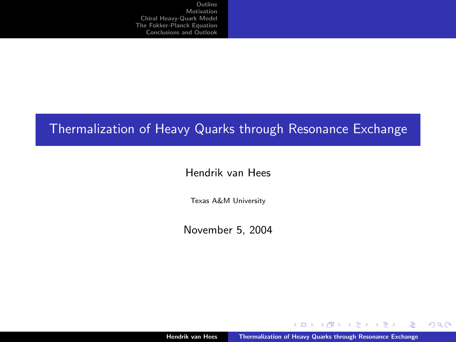# Thermalization of Heavy Quarks through Resonance Exchange

#### Hendrik van Hees

Texas A&M University

November 5, 2004

4日)

<span id="page-0-0"></span> $2Q$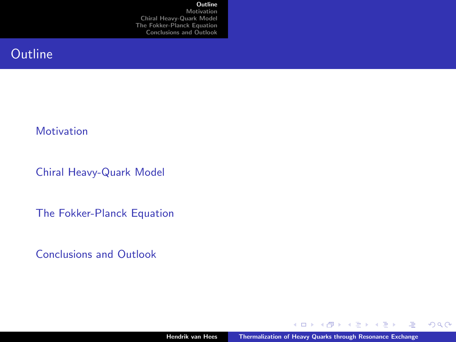#### **[Outline](#page-1-0)**

**[Motivation](#page-2-0)** [Chiral Heavy-Quark Model](#page-3-0) [The Fokker-Planck Equation](#page-13-0) [Conclusions and Outlook](#page-28-0)

# **Outline**

#### **[Motivation](#page-2-0)**

[Chiral Heavy-Quark Model](#page-3-0)

[The Fokker-Planck Equation](#page-13-0)

[Conclusions and Outlook](#page-28-0)

4日下 4 有 Ξ

∍

<span id="page-1-0"></span> $299$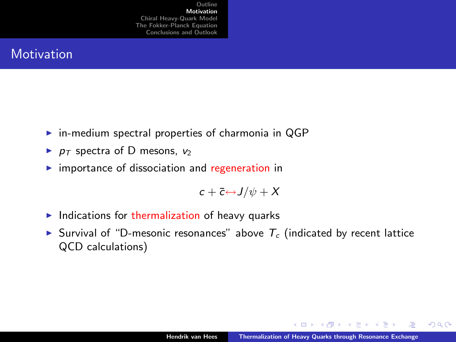### **Motivation**

- $\triangleright$  in-medium spectral properties of charmonia in QGP
- $\blacktriangleright$   $p_T$  spectra of D mesons,  $v_2$
- $\triangleright$  importance of dissociation and regeneration in

$$
c + \overline{c} \leftrightarrow J/\psi + X
$$

- $\blacktriangleright$  Indications for thermalization of heavy quarks
- Survival of "D-mesonic resonances" above  $T_c$  (indicated by recent lattice QCD calculations)

<span id="page-2-0"></span> $-10.5$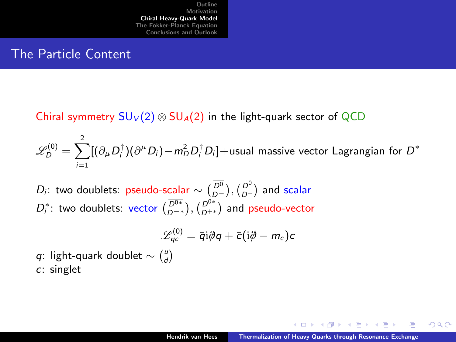#### The Particle Content

Chiral symmetry  $SU_V(2) \otimes SU_A(2)$  in the light-quark sector of QCD

 $\mathscr{L}^{(0)}_D = \sum^2 [(\partial_\mu D_i^\dagger)(\partial^\mu D_i)$  —  $m_D^2 D_i^\dagger D_i]$  + usual massive vector Lagrangian for  $D^*$  $i=1$ 

 $D_i$ : two doublets: pseudo-scalar  $\sim \binom{\overline{D^0}}{D-}$ ,  $\binom{D^0}{D+}$  and scalar  $D_i^*$ : two doublets: vector  $(\overline{D^{0*}}_{D^{-*}}), (\overline{D^{0*}}_{D^{+*}})$  and pseudo-vector

$$
\mathscr{L}^{(0)}_{qc} = \bar{q}i\partial\!\!\!/\,q + \bar{c}(i\partial\!\!\!/-m_c)c
$$

q: light-quark doublet  $\sim \binom{u}{d}$ 

c: singlet

<span id="page-3-0"></span> $\Omega$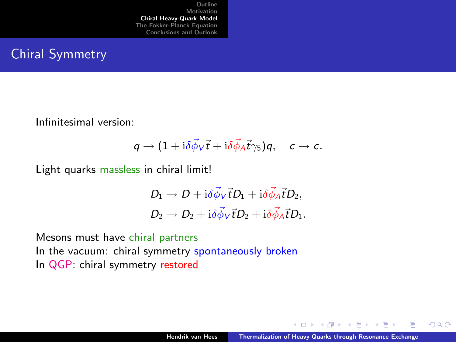### Chiral Symmetry

Infinitesimal version:

$$
q\to (1+\mathrm{i}\delta\vec{\phi}_V\vec{t}+\mathrm{i}\delta\vec{\phi}_A\vec{t}\gamma_5)q, \quad c\to c.
$$

Light quarks massless in chiral limit!

$$
D_1 \rightarrow D + i\delta \vec{\phi}_V \vec{t} D_1 + i\delta \vec{\phi}_A \vec{t} D_2,
$$
  

$$
D_2 \rightarrow D_2 + i\delta \vec{\phi}_V \vec{t} D_2 + i\delta \vec{\phi}_A \vec{t} D_1.
$$

Mesons must have chiral partners In the vacuum: chiral symmetry spontaneously broken In QGP: chiral symmetry restored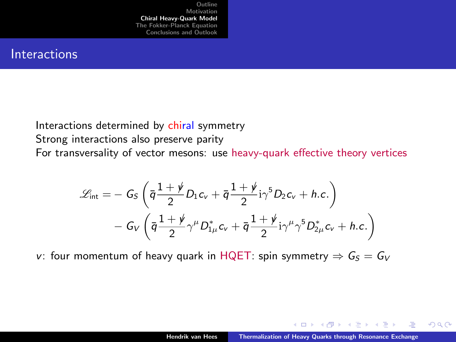#### **Interactions**

Interactions determined by chiral symmetry Strong interactions also preserve parity For transversality of vector mesons: use heavy-quark effective theory vertices

$$
\mathscr{L}_{\text{int}} = -G_S \left( \bar{q} \frac{1+\rlap{\hspace{0.02cm}/}{2}}{2} D_1 c_V + \bar{q} \frac{1+\rlap{\hspace{0.02cm}/}{2}}{1} i \gamma^5 D_2 c_V + h.c. \right) - G_V \left( \bar{q} \frac{1+\rlap{\hspace{0.02cm}/}{2}}{2} \gamma^\mu D_{1\mu}^* c_V + \bar{q} \frac{1+\rlap{\hspace{0.02cm}/}{2}}{2} i \gamma^\mu \gamma^5 D_{2\mu}^* c_V + h.c. \right)
$$

v: four momentum of heavy quark in HQET: spin symmetry  $\Rightarrow G_S = G_V$ 

 $-10.5$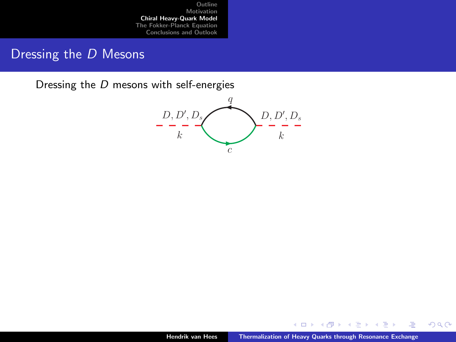### Dressing the D Mesons

Dressing the D mesons with self-energies



4日)

Ξ

 $299$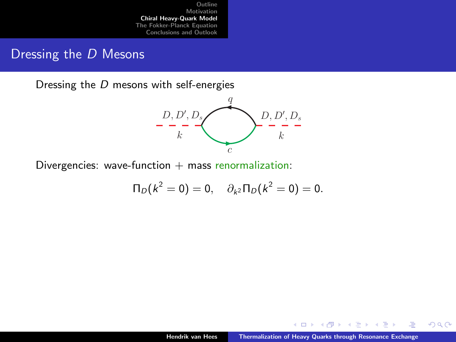# Dressing the D Mesons

Dressing the D mesons with self-energies



Divergencies: wave-function  $+$  mass renormalization:

$$
\Pi_D(k^2=0)=0, \quad \partial_{k^2}\Pi_D(k^2=0)=0.
$$

 $4.17 +$ 

 $2Q$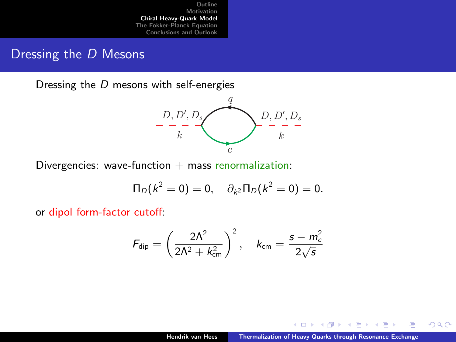### Dressing the D Mesons

Dressing the D mesons with self-energies



Divergencies: wave-function  $+$  mass renormalization:

$$
\Pi_D(k^2=0)=0, \quad \partial_{k^2}\Pi_D(k^2=0)=0.
$$

or dipol form-factor cutoff:

$$
F_{\rm dip} = \left(\frac{2\Lambda^2}{2\Lambda^2 + k_{\rm cm}^2}\right)^2, \quad k_{\rm cm} = \frac{s - m_c^2}{2\sqrt{s}}
$$

 $-10.5$ 

 $2Q$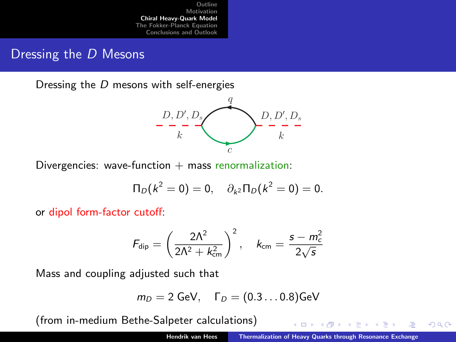#### Dressing the D Mesons

Dressing the D mesons with self-energies



Divergencies: wave-function  $+$  mass renormalization:

$$
\Pi_D(k^2=0)=0, \quad \partial_{k^2}\Pi_D(k^2=0)=0.
$$

or dipol form-factor cutoff:

$$
F_{\text{dip}} = \left(\frac{2\Lambda^2}{2\Lambda^2 + k_{\text{cm}}^2}\right)^2, \quad k_{\text{cm}} = \frac{s - m_c^2}{2\sqrt{s}}
$$

Mass and coupling adjusted such that

$$
m_D=2\text{ GeV},\quad \Gamma_D=(0.3\dots0.8)\text{GeV}
$$

(from in-medium Bethe-Salpeter calculations)

 $\leftarrow$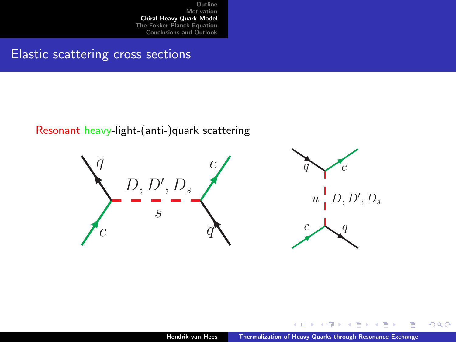# Elastic scattering cross sections

#### Resonant heavy-light-(anti-)quark scattering



 $4.17 +$ 

 $2Q$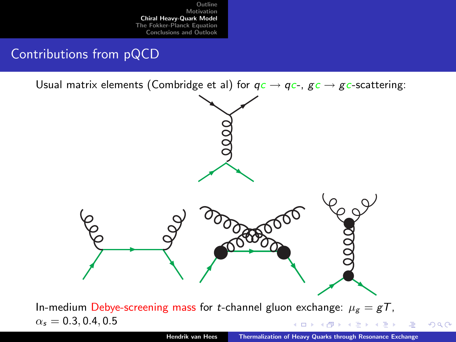# Contributions from pQCD

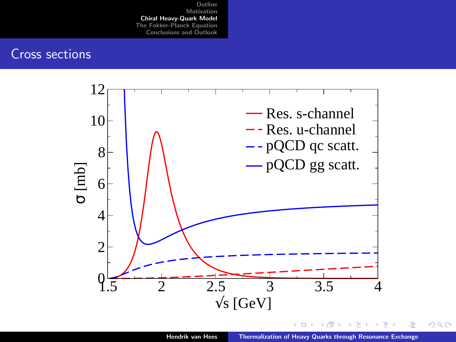#### Cross sections



つへへ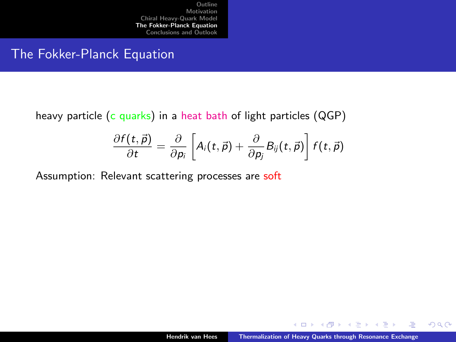#### The Fokker-Planck Equation

#### heavy particle (c quarks) in a heat bath of light particles  $(QGP)$

$$
\frac{\partial f(t,\vec{p})}{\partial t} = \frac{\partial}{\partial p_i} \left[ A_i(t,\vec{p}) + \frac{\partial}{\partial p_j} B_{ij}(t,\vec{p}) \right] f(t,\vec{p})
$$

Assumption: Relevant scattering processes are soft

 $4.17 +$ 

<span id="page-13-0"></span> $2Q$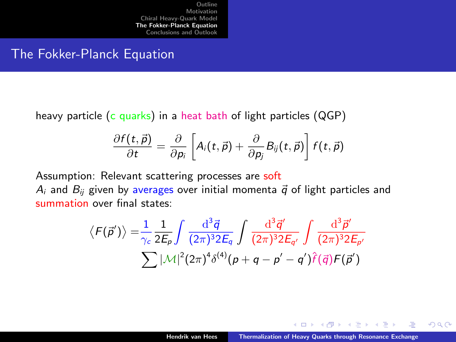#### The Fokker-Planck Equation

heavy particle (c quarks) in a heat bath of light particles  $(QGP)$ 

$$
\frac{\partial f(t,\vec{p})}{\partial t} = \frac{\partial}{\partial p_i} \left[ A_i(t,\vec{p}) + \frac{\partial}{\partial p_j} B_{ij}(t,\vec{p}) \right] f(t,\vec{p})
$$

Assumption: Relevant scattering processes are soft  $A_i$  and  $B_{ii}$  given by averages over initial momenta  $\vec{q}$  of light particles and summation over final states:

$$
\langle F(\vec{p}')\rangle = \frac{1}{\gamma_c} \frac{1}{2E_p} \int \frac{d^3 \vec{q}}{(2\pi)^3 2E_q} \int \frac{d^3 \vec{q}'}{(2\pi)^3 2E_{q'}} \int \frac{d^3 \vec{p}'}{(2\pi)^3 2E_{p'}}
$$

$$
\sum |\mathcal{M}|^2 (2\pi)^4 \delta^{(4)}(p+q-p'-q')\hat{f}(\vec{q})F(\vec{p}')
$$

 $-10.5$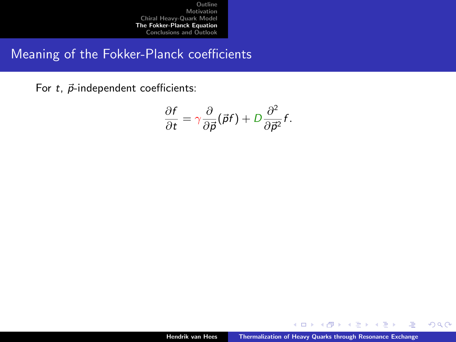# Meaning of the Fokker-Planck coefficients

For  $t$ ,  $\vec{p}$ -independent coefficients:

$$
\frac{\partial f}{\partial t} = \gamma \frac{\partial}{\partial \vec{p}} (\vec{p}f) + D \frac{\partial^2}{\partial \vec{p}^2} f.
$$

 $4.17 +$ 

Ξ

≃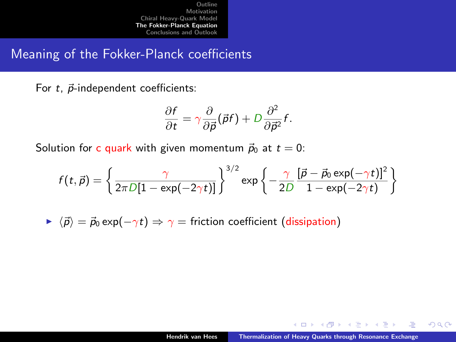Meaning of the Fokker-Planck coefficients

For  $t$ ,  $\vec{p}$ -independent coefficients:

$$
\frac{\partial f}{\partial t} = \gamma \frac{\partial}{\partial \vec{p}} (\vec{p}f) + D \frac{\partial^2}{\partial \vec{p}^2} f.
$$

Solution for c quark with given momentum  $\vec{p}_0$  at  $t = 0$ :

$$
f(t, \vec{p}) = \left\{ \frac{\gamma}{2\pi D[1 - \exp(-2\gamma t)]} \right\}^{3/2} \exp \left\{ -\frac{\gamma}{2D} \frac{[\vec{p} - \vec{p}_0 \exp(-\gamma t)]^2}{1 - \exp(-2\gamma t)} \right\}
$$

 $\triangleright \langle \vec{p} \rangle = \vec{p}_0 \exp(-\gamma t) \Rightarrow \gamma =$  friction coefficient (dissipation)

 $4.17 +$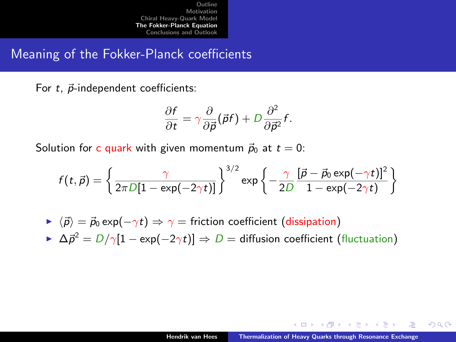Meaning of the Fokker-Planck coefficients

For  $t$ ,  $\vec{p}$ -independent coefficients:

$$
\frac{\partial f}{\partial t} = \gamma \frac{\partial}{\partial \vec{p}} (\vec{p}f) + D \frac{\partial^2}{\partial \vec{p}^2} f.
$$

Solution for c quark with given momentum  $\vec{p}_0$  at  $t = 0$ :

$$
f(t, \vec{p}) = \left\{ \frac{\gamma}{2\pi D[1 - \exp(-2\gamma t)]} \right\}^{3/2} \exp \left\{ -\frac{\gamma}{2D} \frac{[\vec{p} - \vec{p}_0 \exp(-\gamma t)]^2}{1 - \exp(-2\gamma t)} \right\}
$$

\n- $$
\langle \vec{p} \rangle = \vec{p}_0 \exp(-\gamma t) \Rightarrow \gamma
$$
 = friction coefficient (dissipation)
\n- $\Delta \vec{p}^2 = D/\gamma[1 - \exp(-2\gamma t)] \Rightarrow D$  = diffusion coefficient (fluctuation)
\n

 $4.17 +$ 

 $2Q$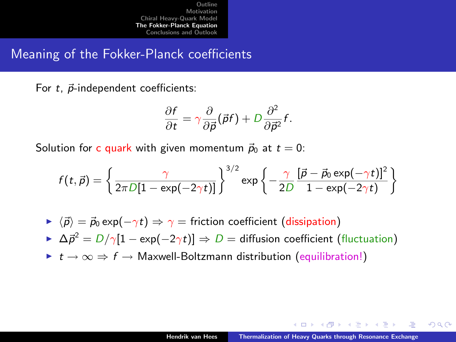Meaning of the Fokker-Planck coefficients

For  $t$ ,  $\vec{p}$ -independent coefficients:

$$
\frac{\partial f}{\partial t} = \gamma \frac{\partial}{\partial \vec{p}} (\vec{p}f) + D \frac{\partial^2}{\partial \vec{p}^2} f.
$$

Solution for c quark with given momentum  $\vec{p}_0$  at  $t = 0$ :

$$
f(t, \vec{p}) = \left\{ \frac{\gamma}{2\pi D[1 - \exp(-2\gamma t)]} \right\}^{3/2} \exp \left\{ -\frac{\gamma}{2D} \frac{[\vec{p} - \vec{p}_0 \exp(-\gamma t)]^2}{1 - \exp(-2\gamma t)} \right\}
$$

$$
\blacktriangleright \langle \vec{p} \rangle = \vec{p}_0 \exp(-\gamma t) \Rightarrow \gamma = \text{friction coefficient (dissipation)}
$$

 $\triangleright$   $\Delta \vec{p}^2 = D/\gamma[1 - \exp(-2\gamma t)] \Rightarrow D =$  diffusion coefficient (fluctuation)

 $\triangleright$   $t \to \infty \Rightarrow f \to$  Maxwell-Boltzmann distribution (equilibration!)

 $4.17 +$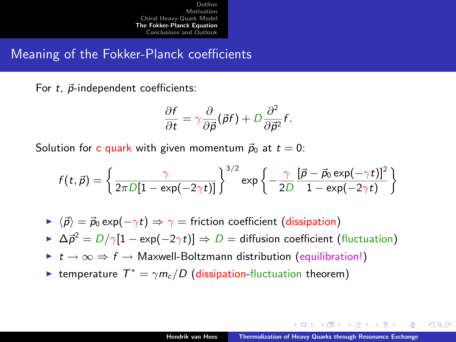Meaning of the Fokker-Planck coefficients

For  $t$ ,  $\vec{p}$ -independent coefficients:

$$
\frac{\partial f}{\partial t} = \gamma \frac{\partial}{\partial \vec{p}} (\vec{p}f) + D \frac{\partial^2}{\partial \vec{p}^2} f.
$$

Solution for c quark with given momentum  $\vec{p}_0$  at  $t = 0$ :

$$
f(t, \vec{p}) = \left\{ \frac{\gamma}{2\pi D[1 - \exp(-2\gamma t)]} \right\}^{3/2} \exp \left\{ -\frac{\gamma}{2D} \frac{[\vec{p} - \vec{p}_0 \exp(-\gamma t)]^2}{1 - \exp(-2\gamma t)} \right\}
$$

$$
\triangleright \langle \vec{p} \rangle = \vec{p}_0 \exp(-\gamma t) \Rightarrow \gamma = \text{friction coefficient (dissipation)}
$$

 $\triangleright$   $\Delta \vec{p}^2 = D/\gamma[1 - \exp(-2\gamma t)] \Rightarrow D =$  diffusion coefficient (fluctuation)

- $\triangleright$   $t \to \infty \Rightarrow f \to$  Maxwell-Boltzmann distribution (equilibration!)
- ► temperature  $T^* = \gamma m_c/D$  (dissipation-fluctuation theorem)

 $-10.5$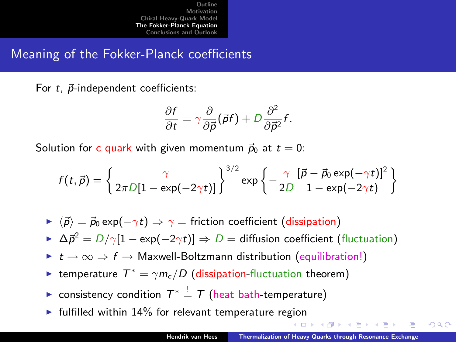Meaning of the Fokker-Planck coefficients

For  $t$ ,  $\vec{p}$ -independent coefficients:

$$
\frac{\partial f}{\partial t} = \gamma \frac{\partial}{\partial \vec{p}} (\vec{p}f) + D \frac{\partial^2}{\partial \vec{p}^2} f.
$$

Solution for c quark with given momentum  $\vec{p}_0$  at  $t = 0$ :

$$
f(t, \vec{p}) = \left\{ \frac{\gamma}{2\pi D[1 - \exp(-2\gamma t)]} \right\}^{3/2} \exp \left\{ -\frac{\gamma}{2D} \frac{[\vec{p} - \vec{p}_0 \exp(-\gamma t)]^2}{1 - \exp(-2\gamma t)} \right\}
$$

 $\triangleright \langle \vec{p} \rangle = \vec{p}_0 \exp(-\gamma t) \Rightarrow \gamma =$  friction coefficient (dissipation)

 $\triangleright$   $\Delta \vec{p}^2 = D/\gamma[1 - \exp(-2\gamma t)] \Rightarrow D =$  diffusion coefficient (fluctuation)

- $\triangleright$   $t \to \infty \Rightarrow f \to$  Maxwell-Boltzmann distribution (equilibration!)
- ► temperature  $T^* = \gamma m_c/D$  (dissipation-fluctuation theorem)
- ► consistency condition  $\mathcal{T}^* \stackrel{!}{=} \mathcal{T}$  (heat bath-temperature)
- $\blacktriangleright$  fulfilled within 14% for relevant temperature region

 $\Omega$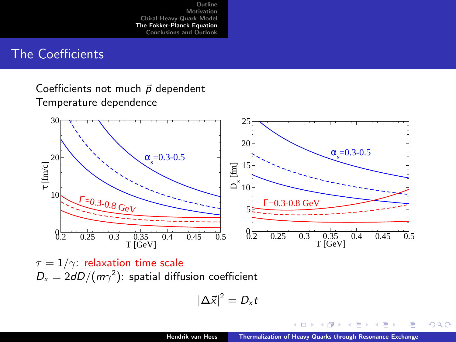#### The Coefficients

Coefficients not much  $\vec{p}$  dependent Temperature dependence



 $\tau = 1/\gamma$ : relaxation time scale  $D_x = 2dD/(m\gamma^2)$ : spatial diffusion coefficient

$$
\left|\Delta\vec{x}\right|^2=D_x t
$$

 $2Q$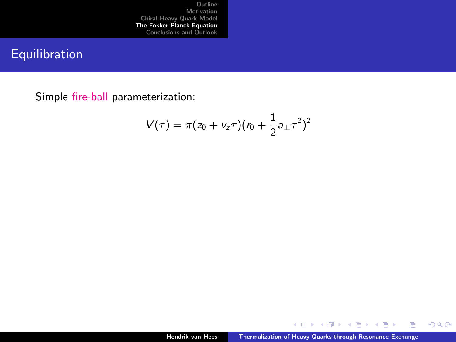# Equilibration

Simple fire-ball parameterization:

$$
V(\tau) = \pi (z_0 + v_z \tau) (r_0 + \frac{1}{2} a_{\perp} \tau^2)^2
$$

 $\leftarrow$   $\Box$   $\rightarrow$ 4 间 **B** ∍ × Þ ÷,

 $299$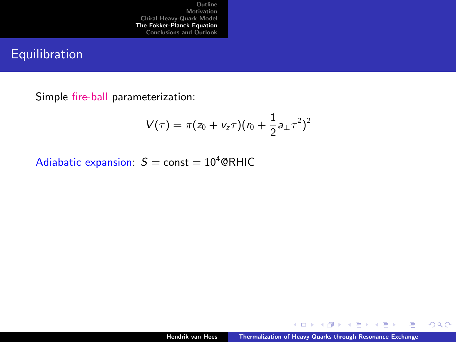# Equilibration

Simple fire-ball parameterization:

$$
V(\tau) = \pi (z_0 + v_z \tau) (r_0 + \frac{1}{2} a_{\perp} \tau^2)^2
$$

Adiabatic expansion:  $S =$  const =  $10^4$  @RHIC

4日下 4 有 Ξ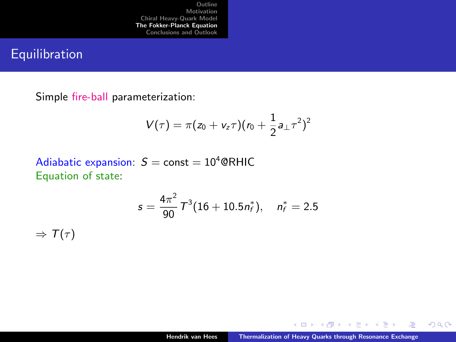# Equilibration

Simple fire-ball parameterization:

$$
V(\tau)=\pi(z_0+v_z\tau)(r_0+\frac{1}{2}a_\perp\tau^2)^2
$$

Adiabatic expansion:  $S =$  const = 10<sup>4</sup> @RHIC Equation of state:

$$
s=\frac{4\pi^2}{90}\,\mathit{T}^3(16+10.5n_f^*),\quad n_f^*=2.5
$$

 $\Rightarrow$  T( $\tau$ )

 $4.17 +$ 4 E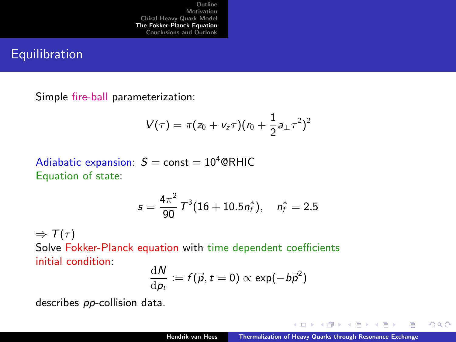# **Equilibration**

Simple fire-ball parameterization:

$$
V(\tau)=\pi(z_0+v_z\tau)(r_0+\frac{1}{2}a_\perp\tau^2)^2
$$

Adiabatic expansion:  $S =$  const = 10<sup>4</sup> @RHIC Equation of state:

$$
s = \frac{4\pi^2}{90} T^3 (16 + 10.5n_f^*), \quad n_f^* = 2.5
$$

 $\Rightarrow$  T( $\tau$ )

Solve Fokker-Planck equation with time dependent coefficients initial condition:  $\ddotsc$ 

$$
\frac{\mathrm{d}N}{\mathrm{d}p_t} := f(\vec{p}, t = 0) \propto \exp(-b\vec{p}^2)
$$

describes pp-collision data.

 $-10.5$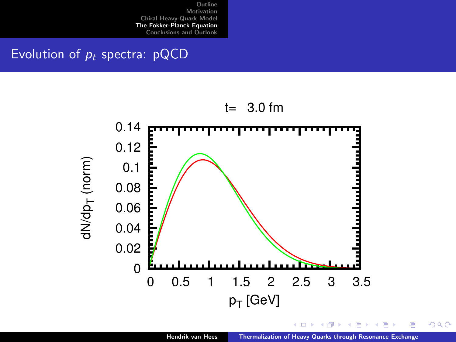# Evolution of  $p_t$  spectra: pQCD



 $2Q$ 

÷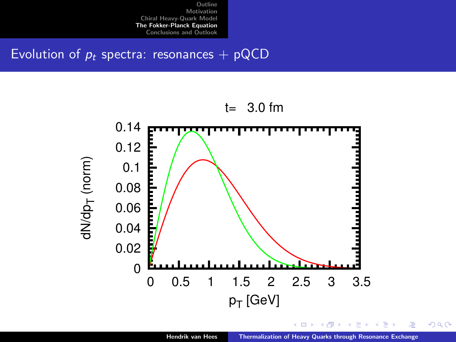Evolution of  $p_t$  spectra: resonances + pQCD



 $\Box$ 

 $2Q$ 

÷